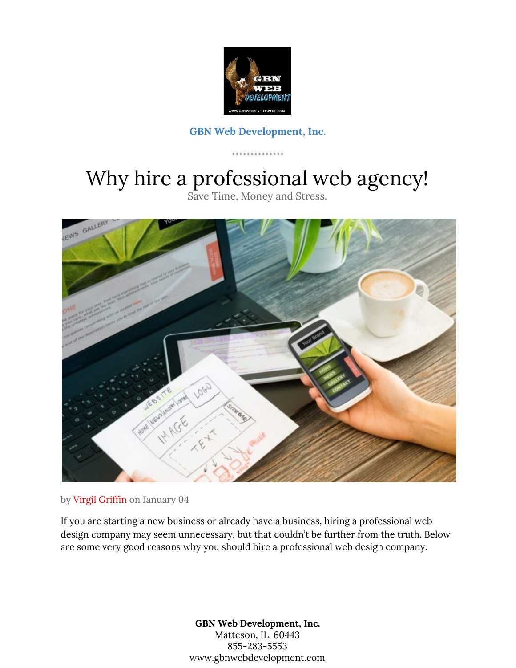

# **GBN Web Development, Inc.**

# Why hire a professional web agency!

Save Time, Money and Stress.



by Virgil Griffin on January 04

If you are starting a new business or already have a business, hiring a professional web design company may seem unnecessary, but that couldn't be further from the truth. Below are some very good reasons why you should hire a professional web design company.

> **GBN Web Development, Inc.** Matteson, IL, 60443 855-283-5553 www.gbnwebdevelopment.com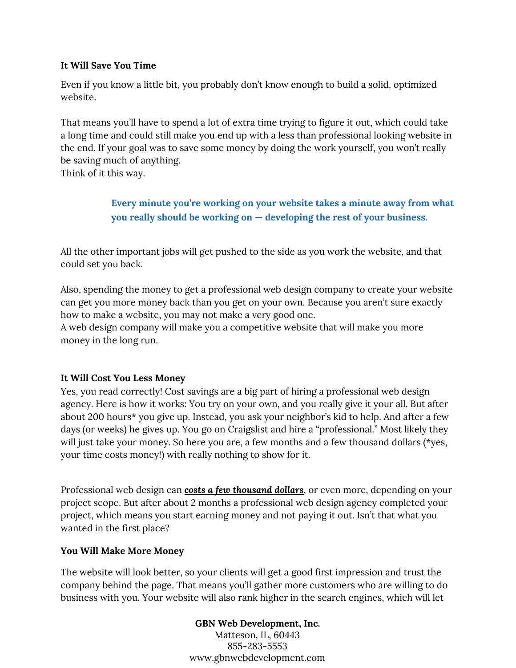#### **It Will Save You Time**

Even if you know a little bit, you probably don't know enough to build a solid, optimized website.

That means you'll have to spend a lot of extra time trying to figure it out, which could take a long time and could still make you end up with a less than professional looking website in the end. If your goal was to save some money by doing the work yourself, you won't really be saving much of anything.

Think of it this way.

**Every minute you're working on your website takes a minute away from what you really should be working on — developing the rest of your business.**

All the other important jobs will get pushed to the side as you work the website, and that could set you back.

Also, spending the money to get a professional web design company to create your website can get you more money back than you get on your own. Because you aren't sure exactly how to make a website, you may not make a very good one.

A web design company will make you a competitive website that will make you more money in the long run.

### **It Will Cost You Less Money**

Yes, you read correctly! Cost savings are a big part of hiring a professional web design agency. Here is how it works: You try on your own, and you really give it your all. But after about 200 hours\* you give up. Instead, you ask your neighbor's kid to help. And after a few days (or weeks) he gives up. You go on Craigslist and hire a "professional." Most likely they will just take your money. So here you are, a few months and a few thousand dollars (\*yes, your time costs money!) with really nothing to show for it.

Professional web design can *costs a few [thousand](https://gbnwebdevelopment.com/web-plans/) dollars*, or even more, depending on your project scope. But after about 2 months a professional web design agency completed your project, which means you start earning money and not paying it out. Isn't that what you wanted in the first place?

#### **You Will Make More Money**

The website will look better, so your clients will get a good first impression and trust the company behind the page. That means you'll gather more customers who are willing to do business with you. Your website will also rank higher in the search engines, which will let

> **GBN Web Development, Inc.** Matteson, IL, 60443 855-283-5553 www.gbnwebdevelopment.com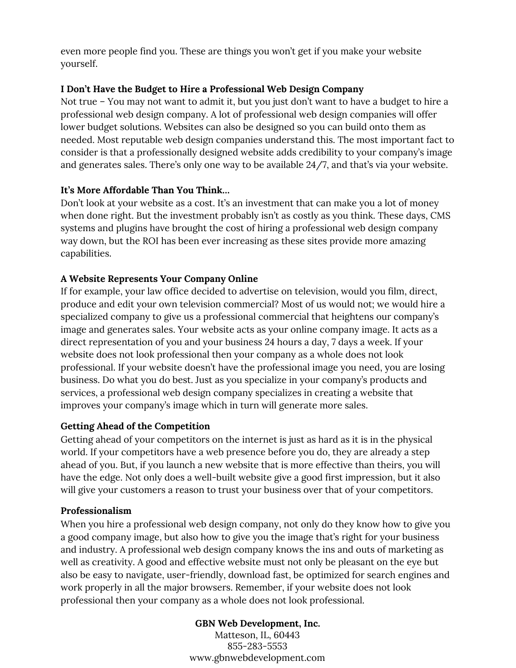even more people find you. These are things you won't get if you make your website yourself.

## **I Don't Have the Budget to Hire a Professional Web Design Company**

Not true – You may not want to admit it, but you just don't want to have a budget to hire a professional web design company. A lot of professional web design companies will offer lower budget solutions. Websites can also be designed so you can build onto them as needed. Most reputable web design companies understand this. The most important fact to consider is that a professionally designed website adds credibility to your company's image and generates sales. There's only one way to be available 24/7, and that's via your website.

# **It's More Affordable Than You Think…**

Don't look at your website as a cost. It's an investment that can make you a lot of money when done right. But the investment probably isn't as costly as you think. These days, CMS systems and plugins have brought the cost of hiring a professional web design company way down, but the ROI has been ever increasing as these sites provide more amazing capabilities.

# **A Website Represents Your Company Online**

If for example, your law office decided to advertise on television, would you film, direct, produce and edit your own television commercial? Most of us would not; we would hire a specialized company to give us a professional commercial that heightens our company's image and generates sales. Your website acts as your online company image. It acts as a direct representation of you and your business 24 hours a day, 7 days a week. If your website does not look professional then your company as a whole does not look professional. If your website doesn't have the professional image you need, you are losing business. Do what you do best. Just as you specialize in your company's products and services, a professional web design company specializes in creating a website that improves your company's image which in turn will generate more sales.

### **Getting Ahead of the Competition**

Getting ahead of your competitors on the internet is just as hard as it is in the physical world. If your competitors have a web presence before you do, they are already a step ahead of you. But, if you launch a new website that is more effective than theirs, you will have the edge. Not only does a well-built website give a good first impression, but it also will give your customers a reason to trust your business over that of your competitors.

### **Professionalism**

When you hire a professional web design company, not only do they know how to give you a good company image, but also how to give you the image that's right for your business and industry. A professional web design company knows the ins and outs of marketing as well as creativity. A good and effective website must not only be pleasant on the eye but also be easy to navigate, user-friendly, download fast, be optimized for search engines and work properly in all the major browsers. Remember, if your website does not look professional then your company as a whole does not look professional.

# **GBN Web Development, Inc.**

Matteson, IL, 60443 855-283-5553 www.gbnwebdevelopment.com